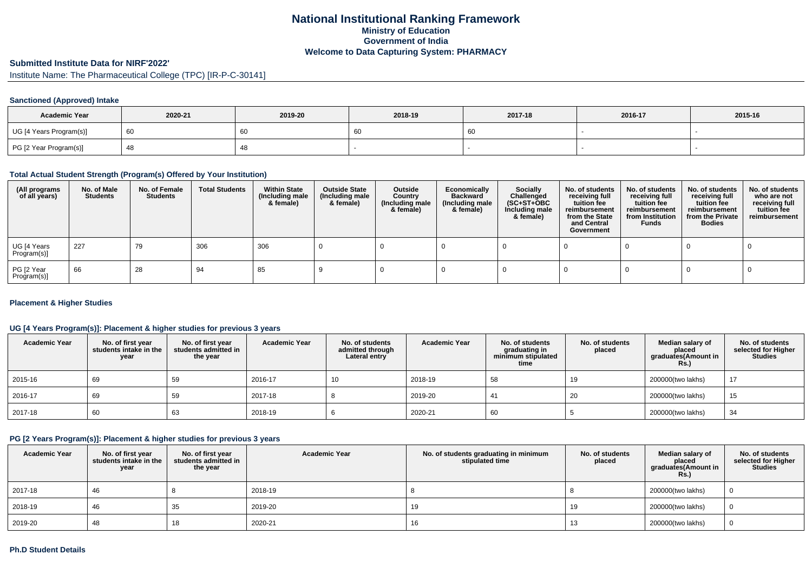### **National Institutional Ranking FrameworkMinistry of Education Government of IndiaWelcome to Data Capturing System: PHARMACY**

### **Submitted Institute Data for NIRF'2022'**

## Institute Name: The Pharmaceutical College (TPC) [IR-P-C-30141]

### **Sanctioned (Approved) Intake**

| <b>Academic Year</b>    | 2020-21 | 2019-20 | 2018-19 | 2017-18 | 2016-17 | 2015-16 |
|-------------------------|---------|---------|---------|---------|---------|---------|
| UG [4 Years Program(s)] |         | 60      | ັບປ     |         |         |         |
| PG [2 Year Program(s)]  |         | 40      |         |         |         |         |

#### **Total Actual Student Strength (Program(s) Offered by Your Institution)**

| (All programs<br>of all years) | No. of Male<br><b>Students</b> | No. of Female<br>Students | <b>Total Students</b> | <b>Within State</b><br>(Including male<br>& female) | <b>Outside State</b><br>(Including male<br>& female) | Outside<br>Country<br>(Including male<br>& female) | Economically<br><b>Backward</b><br>(Including male<br>& female) | <b>Socially</b><br>Challenged<br>$(SC+ST+OBC)$<br>Including male<br>& female) | No. of students<br>receiving full<br>tuition fee<br>reimbursement<br>from the State<br>and Central<br>Government | No. of students<br>receiving full<br>tuition fee<br>reimbursement<br>from Institution<br><b>Funds</b> | No. of students<br>receiving full<br>tuition fee<br>reimbursement<br>from the Private<br><b>Bodies</b> | No. of students<br>who are not<br>receiving full<br>tuition fee<br>reimbursement |
|--------------------------------|--------------------------------|---------------------------|-----------------------|-----------------------------------------------------|------------------------------------------------------|----------------------------------------------------|-----------------------------------------------------------------|-------------------------------------------------------------------------------|------------------------------------------------------------------------------------------------------------------|-------------------------------------------------------------------------------------------------------|--------------------------------------------------------------------------------------------------------|----------------------------------------------------------------------------------|
| UG [4 Years<br>Program(s)]     | 227                            | 79                        | 306                   | 306                                                 |                                                      |                                                    |                                                                 |                                                                               |                                                                                                                  |                                                                                                       |                                                                                                        |                                                                                  |
| PG [2 Year<br>Program(s)]      | 66                             | 28                        | 94                    | 85                                                  |                                                      |                                                    |                                                                 |                                                                               |                                                                                                                  |                                                                                                       |                                                                                                        |                                                                                  |

#### **Placement & Higher Studies**

### **UG [4 Years Program(s)]: Placement & higher studies for previous 3 years**

| <b>Academic Year</b> | No. of first year<br>students intake in the<br>year | No. of first year<br>students admitted in<br>the year | <b>Academic Year</b> | No. of students<br>admitted through<br>Lateral entry | <b>Academic Year</b> | No. of students<br>graduating in<br>minimum stipulated<br>time | No. of students<br>placed | Median salary of<br>placed<br>graduates(Amount in<br>Rs.) | No. of students<br>selected for Higher<br><b>Studies</b> |
|----------------------|-----------------------------------------------------|-------------------------------------------------------|----------------------|------------------------------------------------------|----------------------|----------------------------------------------------------------|---------------------------|-----------------------------------------------------------|----------------------------------------------------------|
| 2015-16              | 69                                                  | 59                                                    | 2016-17              | 10                                                   | 2018-19              | 58                                                             | 19                        | 200000(two lakhs)                                         | 17                                                       |
| 2016-17              | 69                                                  | 59                                                    | 2017-18              |                                                      | 2019-20              | 41                                                             | 20                        | 200000(two lakhs)                                         | 15                                                       |
| 2017-18              | 60                                                  | 63                                                    | 2018-19              |                                                      | 2020-21              | 60                                                             |                           | 200000(two lakhs)                                         | 34                                                       |

### **PG [2 Years Program(s)]: Placement & higher studies for previous 3 years**

| <b>Academic Year</b> | No. of first year<br>students intake in the<br>year | No. of first year<br>students admitted in<br>the year | <b>Academic Year</b> | No. of students graduating in minimum<br>stipulated time | No. of students<br>placed | Median salarv of<br>placed<br>graduates(Amount in<br><b>Rs.)</b> | No. of students<br>selected for Higher<br><b>Studies</b> |
|----------------------|-----------------------------------------------------|-------------------------------------------------------|----------------------|----------------------------------------------------------|---------------------------|------------------------------------------------------------------|----------------------------------------------------------|
| 2017-18              | 46                                                  |                                                       | 2018-19              |                                                          |                           | 200000(two lakhs)                                                |                                                          |
| 2018-19              | 46                                                  | 35                                                    | 2019-20              | 19                                                       | 19                        | 200000(two lakhs)                                                |                                                          |
| 2019-20              | 48                                                  | 18                                                    | 2020-21              | 16                                                       | 10                        | 200000(two lakhs)                                                |                                                          |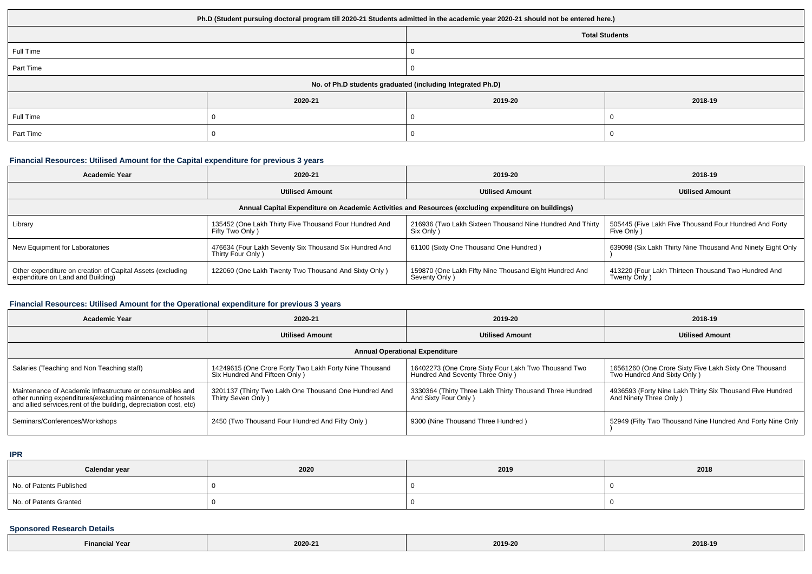| Ph.D (Student pursuing doctoral program till 2020-21 Students admitted in the academic year 2020-21 should not be entered here.) |         |                       |         |  |  |
|----------------------------------------------------------------------------------------------------------------------------------|---------|-----------------------|---------|--|--|
|                                                                                                                                  |         | <b>Total Students</b> |         |  |  |
| Full Time                                                                                                                        |         |                       |         |  |  |
| Part Time                                                                                                                        |         |                       |         |  |  |
| No. of Ph.D students graduated (including Integrated Ph.D)                                                                       |         |                       |         |  |  |
|                                                                                                                                  | 2020-21 | 2019-20               | 2018-19 |  |  |
| Full Time                                                                                                                        |         |                       |         |  |  |
| Part Time                                                                                                                        |         |                       |         |  |  |

### **Financial Resources: Utilised Amount for the Capital expenditure for previous 3 years**

| <b>Academic Year</b>                                                                                 | 2020-21                                                                     | 2019-20                                                                  | 2018-19                                                               |  |  |  |
|------------------------------------------------------------------------------------------------------|-----------------------------------------------------------------------------|--------------------------------------------------------------------------|-----------------------------------------------------------------------|--|--|--|
|                                                                                                      | <b>Utilised Amount</b>                                                      | <b>Utilised Amount</b>                                                   | <b>Utilised Amount</b>                                                |  |  |  |
| Annual Capital Expenditure on Academic Activities and Resources (excluding expenditure on buildings) |                                                                             |                                                                          |                                                                       |  |  |  |
| Library                                                                                              | 135452 (One Lakh Thirty Five Thousand Four Hundred And<br>Fifty Two Only)   | 216936 (Two Lakh Sixteen Thousand Nine Hundred And Thirty<br>Six Only )  | 505445 (Five Lakh Five Thousand Four Hundred And Forty<br>Five Only ) |  |  |  |
| New Equipment for Laboratories                                                                       | 476634 (Four Lakh Seventy Six Thousand Six Hundred And<br>Thirty Four Only) | 61100 (Sixty One Thousand One Hundred)                                   | 639098 (Six Lakh Thirty Nine Thousand And Ninety Eight Only           |  |  |  |
| Other expenditure on creation of Capital Assets (excluding<br>expenditure on Land and Building)      | 122060 (One Lakh Twenty Two Thousand And Sixty Only)                        | 159870 (One Lakh Fifty Nine Thousand Eight Hundred And<br>Seventy Only ) | 413220 (Four Lakh Thirteen Thousand Two Hundred And<br>Twenty Only)   |  |  |  |

# **Financial Resources: Utilised Amount for the Operational expenditure for previous 3 years**

| <b>Academic Year</b>                                                                                                                                                                           | 2020-21                                                                                 | 2019-20                                                                                  | 2018-19                                                                                |  |  |  |
|------------------------------------------------------------------------------------------------------------------------------------------------------------------------------------------------|-----------------------------------------------------------------------------------------|------------------------------------------------------------------------------------------|----------------------------------------------------------------------------------------|--|--|--|
|                                                                                                                                                                                                | <b>Utilised Amount</b>                                                                  | <b>Utilised Amount</b>                                                                   | <b>Utilised Amount</b>                                                                 |  |  |  |
| <b>Annual Operational Expenditure</b>                                                                                                                                                          |                                                                                         |                                                                                          |                                                                                        |  |  |  |
| Salaries (Teaching and Non Teaching staff)                                                                                                                                                     | 14249615 (One Crore Forty Two Lakh Forty Nine Thousand<br>Six Hundred And Fifteen Only) | 16402273 (One Crore Sixty Four Lakh Two Thousand Two<br>Hundred And Seventy Three Only ) | 16561260 (One Crore Sixty Five Lakh Sixty One Thousand<br>Two Hundred And Sixty Only ) |  |  |  |
| Maintenance of Academic Infrastructure or consumables and<br>other running expenditures(excluding maintenance of hostels<br>and allied services, rent of the building, depreciation cost, etc) | 3201137 (Thirty Two Lakh One Thousand One Hundred And<br>Thirty Seven Only )            | 3330364 (Thirty Three Lakh Thirty Thousand Three Hundred<br>And Sixty Four Only)         | 4936593 (Forty Nine Lakh Thirty Six Thousand Five Hundred<br>And Ninety Three Only )   |  |  |  |
| Seminars/Conferences/Workshops                                                                                                                                                                 | 2450 (Two Thousand Four Hundred And Fifty Only)                                         | 9300 (Nine Thousand Three Hundred)                                                       | 52949 (Fifty Two Thousand Nine Hundred And Forty Nine Only                             |  |  |  |

**IPR**

| Calendar year            | 2020 | 2019 | 2018 |
|--------------------------|------|------|------|
| No. of Patents Published |      |      |      |
| No. of Patents Granted   |      |      |      |

## **Sponsored Research Details**

| 'Year<br><b>Hinancial</b> | 2020-21 | 2019-20<br>. | 2018-19<br>. |
|---------------------------|---------|--------------|--------------|
|---------------------------|---------|--------------|--------------|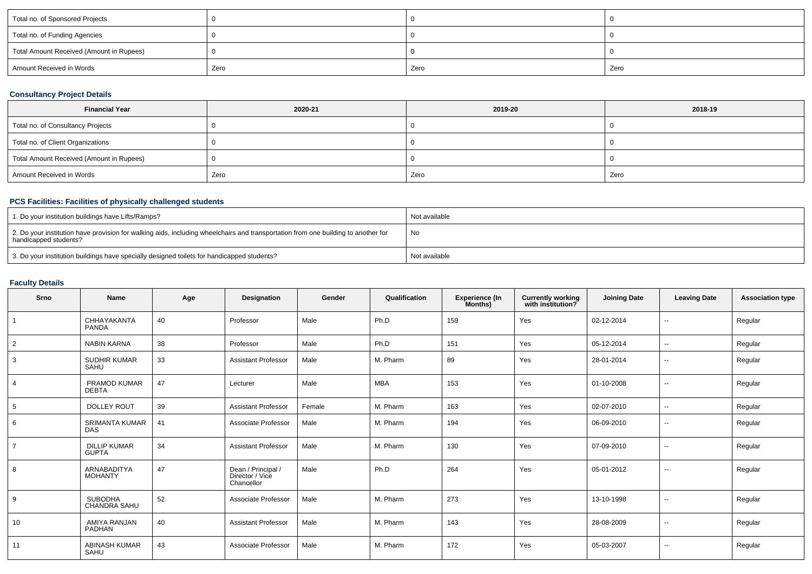| Total no. of Sponsored Projects          |      |      |      |
|------------------------------------------|------|------|------|
| Total no. of Funding Agencies            |      |      |      |
| Total Amount Received (Amount in Rupees) |      |      |      |
| Amount Received in Words                 | Zero | Zero | Zero |

### **Consultancy Project Details**

| <b>Financial Year</b>                    | 2020-21 | 2019-20 | 2018-19 |
|------------------------------------------|---------|---------|---------|
| Total no. of Consultancy Projects        |         |         |         |
| Total no. of Client Organizations        |         |         |         |
| Total Amount Received (Amount in Rupees) |         |         |         |
| Amount Received in Words                 | Zero    | Zero    | Zero    |

# **PCS Facilities: Facilities of physically challenged students**

| 1. Do your institution buildings have Lifts/Ramps?                                                                                                      | Not available |
|---------------------------------------------------------------------------------------------------------------------------------------------------------|---------------|
| 2. Do your institution have provision for walking aids, including wheelchairs and transportation from one building to another for handicapped students? | No            |
| 3. Do your institution buildings have specially designed toilets for handicapped students?                                                              | Not available |

# **Faculty Details**

| Srno           | <b>Name</b>                           | Age | Designation                                         | Gender | Qualification | <b>Experience (In</b><br>Months) | Currently working<br>with institution? | <b>Joining Date</b> | <b>Leaving Date</b> | <b>Association type</b> |
|----------------|---------------------------------------|-----|-----------------------------------------------------|--------|---------------|----------------------------------|----------------------------------------|---------------------|---------------------|-------------------------|
|                | CHHAYAKANTA<br><b>PANDA</b>           | 40  | Professor                                           | Male   | Ph.D          | 159                              | Yes                                    | 02-12-2014          | $\sim$              | Regular                 |
| 2              | <b>NABIN KARNA</b>                    | 38  | Professor                                           | Male   | Ph.D          | 151                              | Yes                                    | 05-12-2014          | $\sim$              | Regular                 |
| 3              | <b>SUDHIR KUMAR</b><br>SAHU           | 33  | <b>Assistant Professor</b>                          | Male   | M. Pharm      | 89                               | Yes                                    | 28-01-2014          | $\sim$              | Regular                 |
|                | PRAMOD KUMAR<br><b>DEBTA</b>          | 47  | Lecturer                                            | Male   | <b>MBA</b>    | 153                              | Yes                                    | 01-10-2008          | --                  | Regular                 |
| 5              | <b>DOLLEY ROUT</b>                    | 39  | <b>Assistant Professor</b>                          | Female | M. Pharm      | 163                              | Yes                                    | 02-07-2010          | $\sim$              | Regular                 |
| 6              | <b>SRIMANTA KUMAR</b><br><b>DAS</b>   | 41  | Associate Professor                                 | Male   | M. Pharm      | 194                              | Yes                                    | 06-09-2010          | $\sim$              | Regular                 |
| $\overline{7}$ | <b>DILLIP KUMAR</b><br><b>GUPTA</b>   | 34  | <b>Assistant Professor</b>                          | Male   | M. Pharm      | 130                              | Yes                                    | 07-09-2010          | $\sim$              | Regular                 |
| 8              | <b>ARNABADITYA</b><br><b>MOHANTY</b>  | 47  | Dean / Principal /<br>Director / Vice<br>Chancellor | Male   | Ph.D          | 264                              | Yes                                    | 05-01-2012          | $\sim$              | Regular                 |
| 9              | <b>SUBODHA</b><br><b>CHANDRA SAHU</b> | 52  | Associate Professor                                 | Male   | M. Pharm      | 273                              | Yes                                    | 13-10-1998          | $\sim$              | Regular                 |
| 10             | AMIYA RANJAN<br><b>PADHAN</b>         | 40  | <b>Assistant Professor</b>                          | Male   | M. Pharm      | 143                              | Yes                                    | 28-08-2009          | $\sim$              | Regular                 |
| 11             | <b>ABINASH KUMAR</b><br>SAHU          | 43  | Associate Professor                                 | Male   | M. Pharm      | 172                              | Yes                                    | 05-03-2007          | $\sim$              | Regular                 |